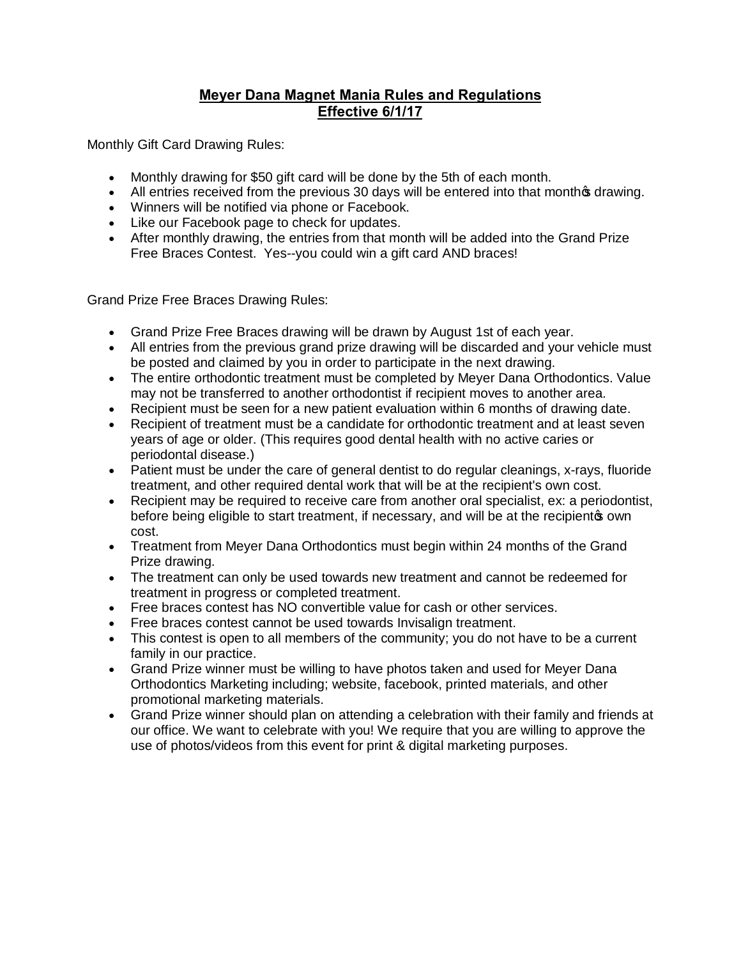## **Meyer Dana Magnet Mania Rules and Regulations Effective 6/1/17**

Monthly Gift Card Drawing Rules:

- · Monthly drawing for \$50 gift card will be done by the 5th of each month.
- All entries received from the previous 30 days will be entered into that monthos drawing.
- · Winners will be notified via phone or Facebook.
- · Like our Facebook page to check for updates.
- · After monthly drawing, the entries from that month will be added into the Grand Prize Free Braces Contest. Yes--you could win a gift card AND braces!

Grand Prize Free Braces Drawing Rules:

- · Grand Prize Free Braces drawing will be drawn by August 1st of each year.
- · All entries from the previous grand prize drawing will be discarded and your vehicle must be posted and claimed by you in order to participate in the next drawing.
- · The entire orthodontic treatment must be completed by Meyer Dana Orthodontics. Value may not be transferred to another orthodontist if recipient moves to another area.
- · Recipient must be seen for a new patient evaluation within 6 months of drawing date.
- · Recipient of treatment must be a candidate for orthodontic treatment and at least seven years of age or older. (This requires good dental health with no active caries or periodontal disease.)
- · Patient must be under the care of general dentist to do regular cleanings, x-rays, fluoride treatment, and other required dental work that will be at the recipient's own cost.
- · Recipient may be required to receive care from another oral specialist, ex: a periodontist, before being eligible to start treatment, if necessary, and will be at the recipient wown cost.
- · Treatment from Meyer Dana Orthodontics must begin within 24 months of the Grand Prize drawing.
- · The treatment can only be used towards new treatment and cannot be redeemed for treatment in progress or completed treatment.
- · Free braces contest has NO convertible value for cash or other services.
- · Free braces contest cannot be used towards Invisalign treatment.
- This contest is open to all members of the community; you do not have to be a current family in our practice.
- · Grand Prize winner must be willing to have photos taken and used for Meyer Dana Orthodontics Marketing including; website, facebook, printed materials, and other promotional marketing materials.
- · Grand Prize winner should plan on attending a celebration with their family and friends at our office. We want to celebrate with you! We require that you are willing to approve the use of photos/videos from this event for print & digital marketing purposes.